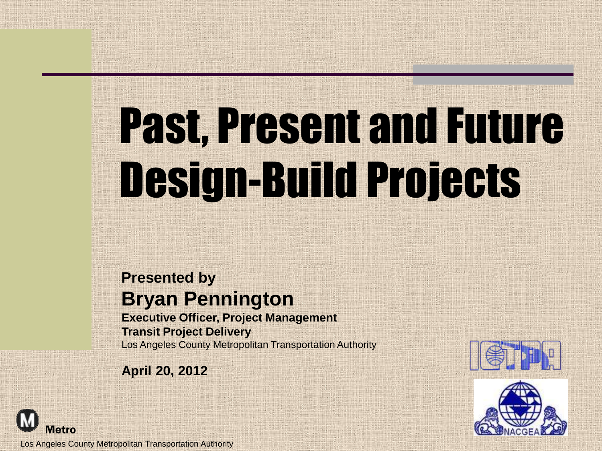# Past, Present and Future Design-Build Projects

#### **Presented by Bryan Pennington**

**Executive Officer, Project Management Transit Project Delivery** Los Angeles County Metropolitan Transportation Authority

**April 20, 2012**





Los Angeles County Metropolitan Transportation Authority

**Metro**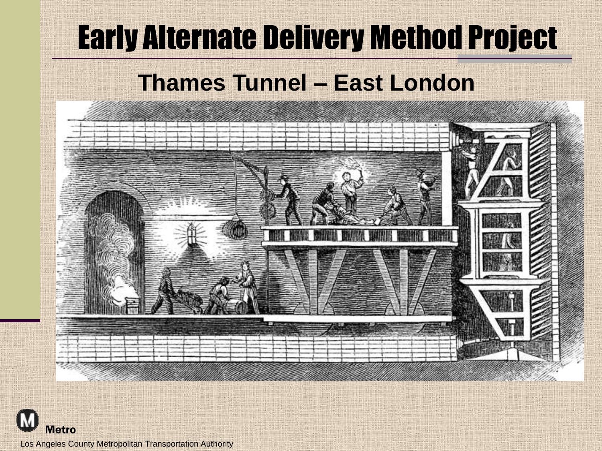## Early Alternate Delivery Method Project

#### **Thames Tunnel – East London**



Los Angeles County Metropolitan Transportation Authority

Metro

**M**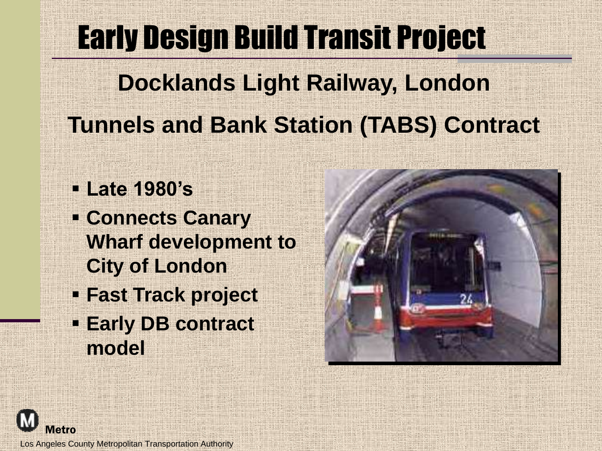#### Early Design Build Transit Project

#### **Docklands Light Railway, London Tunnels and Bank Station (TABS) Contract**

- **Late 1980's**
- **Connects Canary Wharf development to City of London**
- **Fast Track project**
- **Early DB contract model**





Los Angeles County Metropolitan Transportation Authority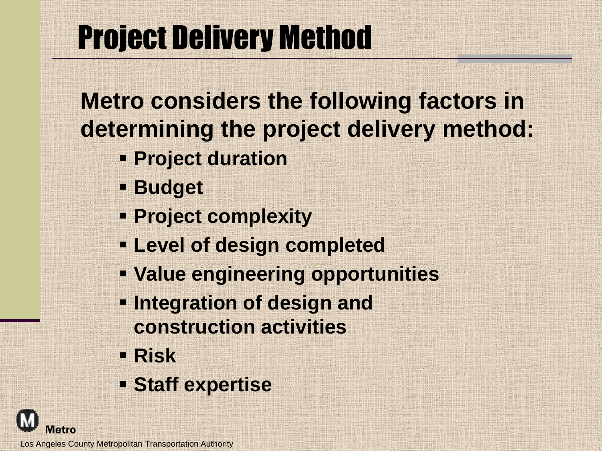### Project Delivery Method

**Metro considers the following factors in determining the project delivery method:**

- **Project duration**
- **Budget**
- **Project complexity**
- **Level of design completed**
- **Value engineering opportunities**
- **Integration of design and construction activities**
- **Risk**
- **Staff expertise**

Los Angeles County Metropolitan Transportation Authority

**Metro**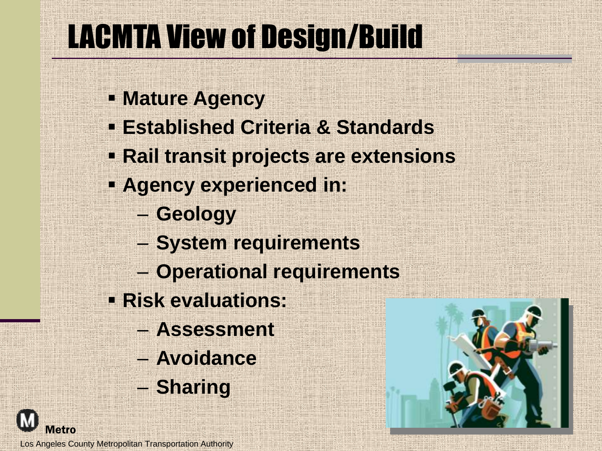### LACMTA View of Design/Build

- **Mature Agency**
- **Established Criteria & Standards**
- **Rail transit projects are extensions**
- **Agency experienced in:**
	- **Geology**
	- **System requirements**
	- **Operational requirements**
- **Risk evaluations:**
	- **Assessment**
	- **Avoidance**
	- **Sharing**



Los Angeles County Metropolitan Transportation Authority

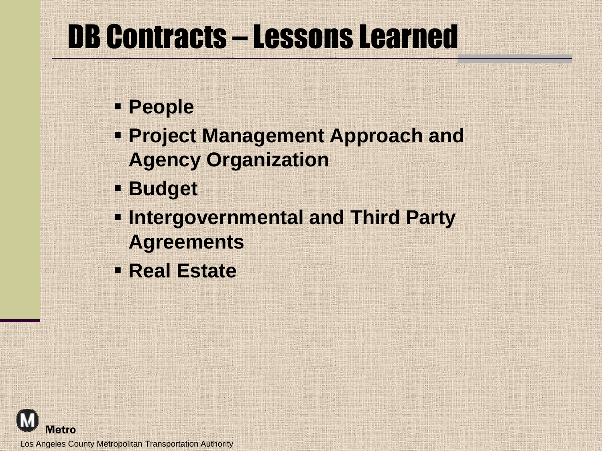#### DB Contracts – Lessons Learned

- **People**
- **Project Management Approach and Agency Organization**
- **Budget**
- **Intergovernmental and Third Party Agreements**
- **Real Estate**

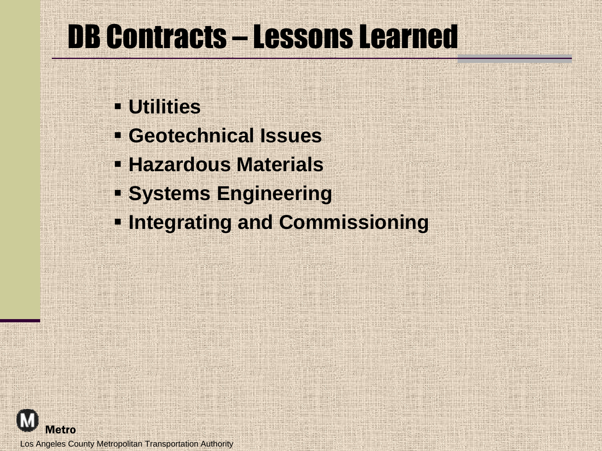#### DB Contracts – Lessons Learned

- **Utilities**
- **Geotechnical Issues**
- **Hazardous Materials**
- **Systems Engineering**
- **<u><b>Integrating and Commissioning</u>**</u>

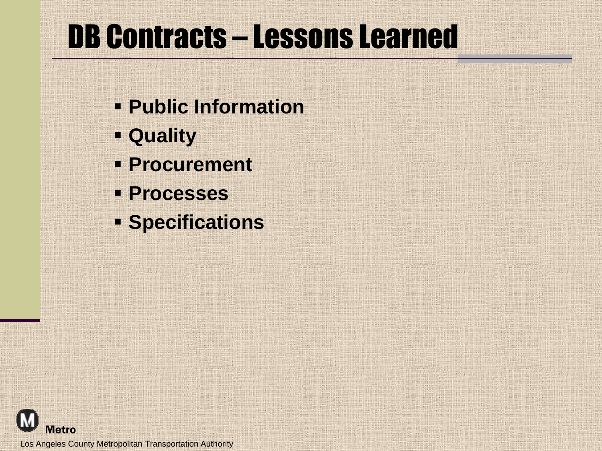### DB Contracts – Lessons Learned

- **Public Information**
- **Quality**
- **Procurement**
- **Processes**
- **Specifications**

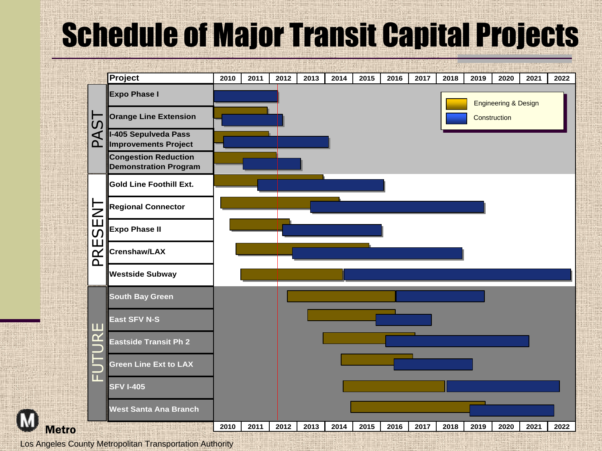### Schedule of Major Transit Capital Projects



Los Angeles County Metropolitan Transportation Authority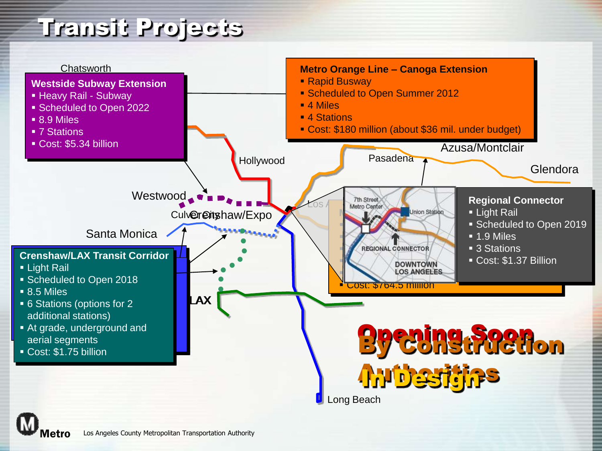#### Transit Projects